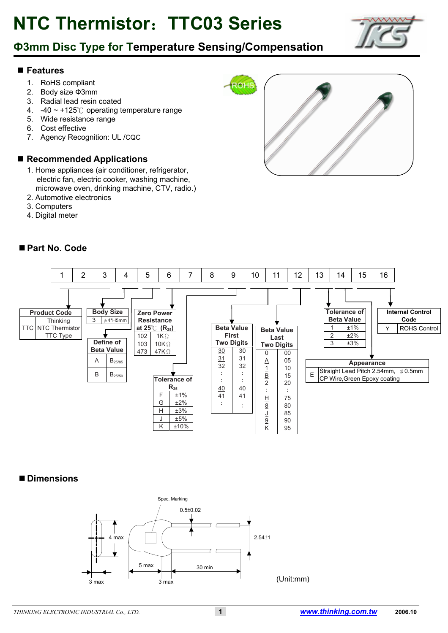## **Ф3mm Disc Type for Temperature Sensing/Compensation**

#### **Features**

- 1. RoHS compliant
- 2. Body size Ф3mm
- 3. Radial lead resin coated
- 4. -40 ~ +125℃ operating temperature range
- 5. Wide resistance range
- 6. Cost effective
- 7. Agency Recognition: UL /CQC

#### ■ Recommended Applications

- 1. Home appliances (air conditioner, refrigerator, electric fan, electric cooker, washing machine, microwave oven, drinking machine, CTV, radio.)
- 2. Automotive electronics
- 3. Computers
- 4. Digital meter

#### ■ Part No. Code



#### **Dimensions**



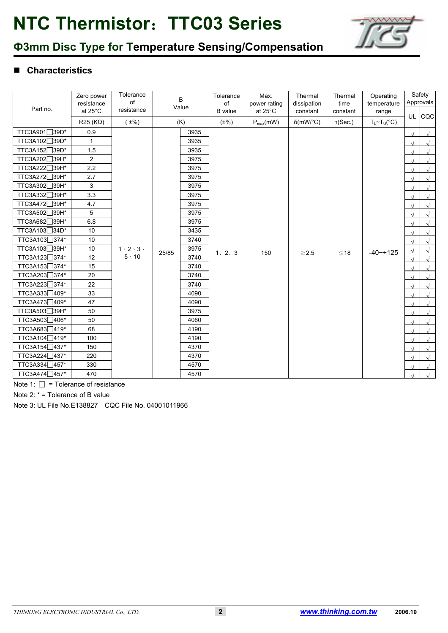

## **Ф3mm Disc Type for Temperature Sensing/Compensation**

### **Characteristics**

| Part no.                 | Zero power<br>resistance | Tolerance<br>of<br>resistance             |       | $\mathsf{B}$<br>Value |                | Max.<br>power rating | Thermal<br>dissipation | Thermal<br>time | Operating<br>temperature    |                   | Safety<br>Approvals |  |  |  |  |  |  |  |  |  |  |  |  |  |  |  |  |      |  |  |  |  |  |  |  |      |  |  |      |         |     |            |            |               |  |            |
|--------------------------|--------------------------|-------------------------------------------|-------|-----------------------|----------------|----------------------|------------------------|-----------------|-----------------------------|-------------------|---------------------|--|--|--|--|--|--|--|--|--|--|--|--|--|--|--|--|------|--|--|--|--|--|--|--|------|--|--|------|---------|-----|------------|------------|---------------|--|------------|
|                          | at 25°C                  |                                           |       |                       | <b>B</b> value | at 25°C              | constant               | constant        | range                       |                   | UL CQC              |  |  |  |  |  |  |  |  |  |  |  |  |  |  |  |  |      |  |  |  |  |  |  |  |      |  |  |      |         |     |            |            |               |  |            |
|                          | $R25(K\Omega)$           | $(\pm\%)$                                 |       | (K)                   | $(\pm\%)$      | $P_{max}(mW)$        | $\delta$ (mW/°C)       | T(Sec.)         | $T_L \sim T_U({}^{\circ}C)$ |                   |                     |  |  |  |  |  |  |  |  |  |  |  |  |  |  |  |  |      |  |  |  |  |  |  |  |      |  |  |      |         |     |            |            |               |  |            |
| TTC3A901□39D*            | 0.9                      |                                           |       | 3935                  |                |                      |                        |                 |                             |                   | $\sqrt{ }$          |  |  |  |  |  |  |  |  |  |  |  |  |  |  |  |  |      |  |  |  |  |  |  |  |      |  |  |      |         |     |            |            |               |  |            |
| TTC3A102 <sup>39D*</sup> | $\mathbf{1}$             |                                           |       | 3935                  |                |                      |                        |                 |                             |                   |                     |  |  |  |  |  |  |  |  |  |  |  |  |  |  |  |  |      |  |  |  |  |  |  |  |      |  |  |      |         |     |            |            |               |  |            |
| TTC3A152 <sup>39D*</sup> | 1.5                      |                                           |       | 3935                  |                |                      |                        |                 |                             |                   | $\sqrt{ }$          |  |  |  |  |  |  |  |  |  |  |  |  |  |  |  |  |      |  |  |  |  |  |  |  |      |  |  |      |         |     |            |            |               |  |            |
| TTC3A202 <sup>39H*</sup> | $\overline{2}$           |                                           |       | 3975                  |                |                      |                        |                 |                             |                   | $\sqrt{ }$          |  |  |  |  |  |  |  |  |  |  |  |  |  |  |  |  |      |  |  |  |  |  |  |  |      |  |  |      |         |     |            |            |               |  |            |
| <b>TTC3A222</b><br>∃39H* | 2.2                      |                                           |       | 3975                  |                |                      |                        |                 |                             |                   | $\sqrt{ }$          |  |  |  |  |  |  |  |  |  |  |  |  |  |  |  |  |      |  |  |  |  |  |  |  |      |  |  |      |         |     |            |            |               |  |            |
| TTC3A272 <sup>39H*</sup> | 2.7                      |                                           |       | 3975                  |                |                      |                        |                 |                             |                   |                     |  |  |  |  |  |  |  |  |  |  |  |  |  |  |  |  |      |  |  |  |  |  |  |  |      |  |  |      |         |     |            |            |               |  |            |
| TTC3A302 <sup>39H*</sup> | 3                        |                                           |       | 3975                  |                |                      |                        |                 |                             | $\mathbf{\hat{}}$ | $\sqrt{ }$          |  |  |  |  |  |  |  |  |  |  |  |  |  |  |  |  |      |  |  |  |  |  |  |  |      |  |  |      |         |     |            |            |               |  |            |
| TTC3A332 39H*            | 3.3                      |                                           |       | 3975                  |                |                      |                        |                 |                             |                   | $\sqrt{ }$          |  |  |  |  |  |  |  |  |  |  |  |  |  |  |  |  |      |  |  |  |  |  |  |  |      |  |  |      |         |     |            |            |               |  |            |
| TTC3A472 39H*            | 4.7                      | $1 \cdot 2 \cdot 3 \cdot$<br>$5 \cdot 10$ |       | 3975                  |                |                      |                        |                 |                             |                   | $\sqrt{ }$          |  |  |  |  |  |  |  |  |  |  |  |  |  |  |  |  |      |  |  |  |  |  |  |  |      |  |  |      |         |     |            |            |               |  |            |
| TTC3A502 <sup>39H*</sup> | 5                        |                                           |       | 3975                  |                |                      |                        |                 |                             |                   | $\sqrt{ }$          |  |  |  |  |  |  |  |  |  |  |  |  |  |  |  |  |      |  |  |  |  |  |  |  |      |  |  |      |         |     |            |            |               |  |            |
| TTC3A682<br>∃39H*        | 6.8                      |                                           |       | 3975                  |                |                      |                        |                 |                             |                   | $\sqrt{ }$          |  |  |  |  |  |  |  |  |  |  |  |  |  |  |  |  |      |  |  |  |  |  |  |  |      |  |  |      |         |     |            |            |               |  |            |
| TTC3A103 <sup>34D*</sup> | 10                       |                                           |       | 3435                  |                |                      |                        |                 |                             |                   | $\sqrt{ }$          |  |  |  |  |  |  |  |  |  |  |  |  |  |  |  |  |      |  |  |  |  |  |  |  |      |  |  |      |         |     |            |            |               |  |            |
| TTC3A103□374*            | 10                       |                                           |       | 3740                  |                |                      |                        |                 |                             |                   | $\sqrt{ }$          |  |  |  |  |  |  |  |  |  |  |  |  |  |  |  |  |      |  |  |  |  |  |  |  |      |  |  |      |         |     |            |            |               |  |            |
| TTC3A103 39H*            | 10                       |                                           | 25/85 |                       |                |                      |                        |                 |                             |                   |                     |  |  |  |  |  |  |  |  |  |  |  |  |  |  |  |  |      |  |  |  |  |  |  |  |      |  |  | 3975 | 1, 2, 3 | 150 | $\geq$ 2.5 | $≤ 18$     | $-40$ $-+125$ |  | $\sqrt{ }$ |
| TTC3A123 <sup>374*</sup> | 12                       |                                           |       |                       |                |                      |                        |                 |                             |                   |                     |  |  |  |  |  |  |  |  |  |  |  |  |  |  |  |  |      |  |  |  |  |  |  |  | 3740 |  |  |      |         |     |            | $\sqrt{ }$ |               |  |            |
| TTC3A153 <sup>374*</sup> | 15                       |                                           |       | 3740                  |                |                      |                        |                 |                             |                   | $\sqrt{ }$          |  |  |  |  |  |  |  |  |  |  |  |  |  |  |  |  |      |  |  |  |  |  |  |  |      |  |  |      |         |     |            |            |               |  |            |
| TTC3A203 374*            | 20                       |                                           |       |                       |                |                      |                        |                 |                             |                   |                     |  |  |  |  |  |  |  |  |  |  |  |  |  |  |  |  | 3740 |  |  |  |  |  |  |  |      |  |  |      |         |     |            |            |               |  |            |
| TTC3A223 374*            | 22                       |                                           |       | 3740                  |                |                      |                        |                 |                             |                   | $\sqrt{ }$          |  |  |  |  |  |  |  |  |  |  |  |  |  |  |  |  |      |  |  |  |  |  |  |  |      |  |  |      |         |     |            |            |               |  |            |
| TTC3A333 409*            | 33                       |                                           |       |                       |                |                      |                        |                 |                             |                   |                     |  |  |  |  |  |  |  |  |  |  |  |  |  |  |  |  | 4090 |  |  |  |  |  |  |  |      |  |  |      |         |     |            |            |               |  |            |
| TTC3A473409*             | 47                       |                                           |       | 4090                  |                |                      |                        |                 |                             |                   | $\sqrt{ }$          |  |  |  |  |  |  |  |  |  |  |  |  |  |  |  |  |      |  |  |  |  |  |  |  |      |  |  |      |         |     |            |            |               |  |            |
| TTC3A503 39H*            | 50                       |                                           |       | 3975                  |                |                      |                        |                 |                             |                   | $\sqrt{ }$          |  |  |  |  |  |  |  |  |  |  |  |  |  |  |  |  |      |  |  |  |  |  |  |  |      |  |  |      |         |     |            |            |               |  |            |
| TTC3A503406*             | 50                       |                                           |       | 4060                  |                |                      |                        |                 |                             |                   |                     |  |  |  |  |  |  |  |  |  |  |  |  |  |  |  |  |      |  |  |  |  |  |  |  |      |  |  |      |         |     |            |            |               |  |            |
| TTC3A683419*             | 68                       |                                           |       | 4190                  |                |                      |                        |                 |                             |                   |                     |  |  |  |  |  |  |  |  |  |  |  |  |  |  |  |  |      |  |  |  |  |  |  |  |      |  |  |      |         |     |            |            |               |  |            |
| TTC3A104 <sup>419*</sup> | 100                      |                                           |       | 4190                  |                |                      |                        |                 |                             |                   |                     |  |  |  |  |  |  |  |  |  |  |  |  |  |  |  |  |      |  |  |  |  |  |  |  |      |  |  |      |         |     |            |            |               |  |            |
| TTC3A154 437*            | 150                      |                                           |       | 4370                  |                |                      |                        |                 |                             | $\lambda$         | $\sqrt{ }$          |  |  |  |  |  |  |  |  |  |  |  |  |  |  |  |  |      |  |  |  |  |  |  |  |      |  |  |      |         |     |            |            |               |  |            |
| TTC3A224 437*            | 220                      |                                           |       | 4370                  |                |                      |                        |                 |                             |                   | $\sqrt{ }$          |  |  |  |  |  |  |  |  |  |  |  |  |  |  |  |  |      |  |  |  |  |  |  |  |      |  |  |      |         |     |            |            |               |  |            |
| TTC3A334 457*            | 330                      |                                           |       | 4570                  |                |                      |                        |                 |                             |                   | $\sqrt{ }$          |  |  |  |  |  |  |  |  |  |  |  |  |  |  |  |  |      |  |  |  |  |  |  |  |      |  |  |      |         |     |            |            |               |  |            |
| TTC3A474 457*            | 470                      |                                           |       | 4570                  |                |                      |                        |                 |                             |                   |                     |  |  |  |  |  |  |  |  |  |  |  |  |  |  |  |  |      |  |  |  |  |  |  |  |      |  |  |      |         |     |            |            |               |  |            |

Note 1:  $\square$  = Tolerance of resistance

Note 2: \* = Tolerance of B value

Note 3: UL File No.E138827 CQC File No. 04001011966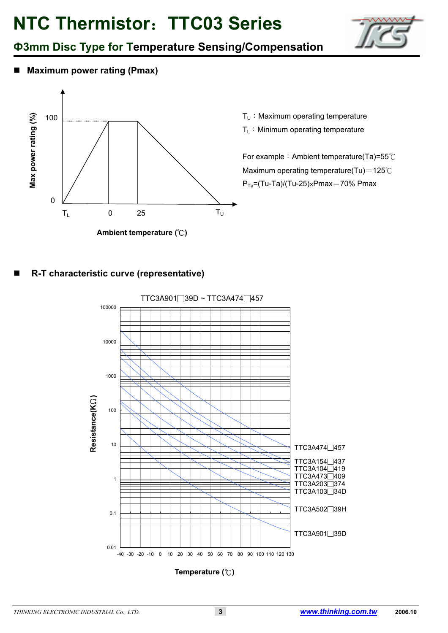

## **Ф3mm Disc Type for Temperature Sensing/Compensation**

■ Maximum power rating (Pmax)



 $T_U:$  Maximum operating temperature

 $T_L$ : Minimum operating temperature

For example: Ambient temperature(Ta)=55℃ Maximum operating temperature(Tu)=125℃  $P_{Ta}=(Tu-Ta)/(Tu-25)xPmax=70% Pmax$ 

### **R-T characteristic curve (representative)**



**Temperature (**℃**)**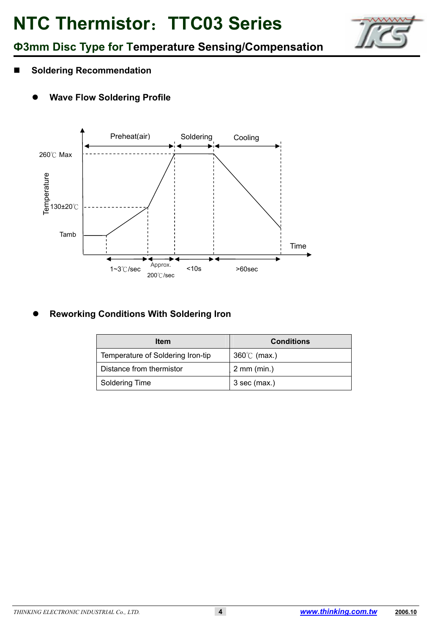

## **Ф3mm Disc Type for Temperature Sensing/Compensation**

- Soldering Recommendation
	- **Wave Flow Soldering Profile**



#### **Reworking Conditions With Soldering Iron**

| <b>Item</b>                       | <b>Conditions</b>       |
|-----------------------------------|-------------------------|
| Temperature of Soldering Iron-tip | $360^{\circ}$ (max.)    |
| Distance from thermistor          | $2 \, \text{mm}$ (min.) |
| Soldering Time                    | $3$ sec (max.)          |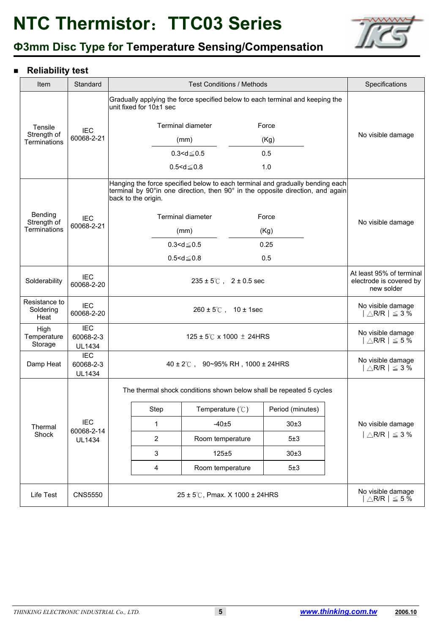

## **Ф3mm Disc Type for Temperature Sensing/Compensation**

### **Reliability test**

| Item                               | Standard                                 | <b>Test Conditions / Methods</b>     |                                                                                                                                                                                        |                                                   |  |                  |                                                             | Specifications                                                    |  |
|------------------------------------|------------------------------------------|--------------------------------------|----------------------------------------------------------------------------------------------------------------------------------------------------------------------------------------|---------------------------------------------------|--|------------------|-------------------------------------------------------------|-------------------------------------------------------------------|--|
|                                    |                                          |                                      | Gradually applying the force specified below to each terminal and keeping the<br>unit fixed for 10±1 sec                                                                               |                                                   |  |                  |                                                             |                                                                   |  |
| Tensile                            | <b>IEC</b>                               | Terminal diameter<br>Force           |                                                                                                                                                                                        |                                                   |  |                  |                                                             |                                                                   |  |
| Strength of<br>Terminations        | 60068-2-21                               |                                      |                                                                                                                                                                                        | (mm)                                              |  | (Kg)             |                                                             | No visible damage                                                 |  |
|                                    |                                          |                                      |                                                                                                                                                                                        | $0.3 < d \le 0.5$                                 |  | 0.5              |                                                             |                                                                   |  |
|                                    |                                          |                                      |                                                                                                                                                                                        | $0.5 < d \le 0.8$                                 |  | 1.0              |                                                             |                                                                   |  |
|                                    |                                          |                                      | Hanging the force specified below to each terminal and gradually bending each<br>terminal by 90°in one direction, then 90° in the opposite direction, and again<br>back to the origin. |                                                   |  |                  |                                                             |                                                                   |  |
| Bending<br>Strength of             | <b>IEC</b>                               |                                      |                                                                                                                                                                                        | <b>Terminal diameter</b>                          |  | Force            |                                                             | No visible damage                                                 |  |
| Terminations                       | 60068-2-21                               |                                      |                                                                                                                                                                                        | (mm)                                              |  | (Kg)             |                                                             |                                                                   |  |
|                                    |                                          |                                      |                                                                                                                                                                                        | $0.3<$ d $\leq$ 0.5                               |  | 0.25             |                                                             |                                                                   |  |
|                                    |                                          | $0.5 < d \le 0.8$<br>0.5             |                                                                                                                                                                                        |                                                   |  |                  |                                                             |                                                                   |  |
| Solderability                      | <b>IEC</b><br>60068-2-20                 |                                      | $235 \pm 5^{\circ}$ , $2 \pm 0.5$ sec                                                                                                                                                  |                                                   |  |                  |                                                             | At least 95% of terminal<br>electrode is covered by<br>new solder |  |
| Resistance to<br>Soldering<br>Heat | <b>IEC</b><br>60068-2-20                 | $260 \pm 5^{\circ}$ ( $10 \pm 1$ sec |                                                                                                                                                                                        |                                                   |  |                  |                                                             | No visible damage<br>$ \triangle$ R/R $ \leq 3\sqrt[5]{6}$        |  |
| High<br>Temperature<br>Storage     | <b>IEC</b><br>60068-2-3<br><b>UL1434</b> | 125 ± 5°C x 1000 $\pm$ 24HRS         |                                                                                                                                                                                        |                                                   |  |                  |                                                             | No visible damage<br>$ \triangle$ R/R $ \leq$ 5 %                 |  |
| Damp Heat                          | <b>IEC</b><br>60068-2-3<br><b>UL1434</b> |                                      | $40 \pm 2^{\circ}$ ( , 90~95% RH, 1000 ± 24HRS                                                                                                                                         | No visible damage<br>$ \triangle$ R/R $ \leq 3\%$ |  |                  |                                                             |                                                                   |  |
|                                    |                                          |                                      | The thermal shock conditions shown below shall be repeated 5 cycles                                                                                                                    |                                                   |  |                  |                                                             |                                                                   |  |
|                                    |                                          |                                      | Step                                                                                                                                                                                   | Temperature $(\mathcal{C})$                       |  | Period (minutes) |                                                             |                                                                   |  |
| Thermal<br>Shock                   | <b>IEC</b><br>60068-2-14                 |                                      | 1                                                                                                                                                                                      | $-40±5$                                           |  | 30±3             |                                                             | No visible damage                                                 |  |
|                                    | <b>UL1434</b>                            |                                      | 2                                                                                                                                                                                      | Room temperature                                  |  | 5±3              |                                                             | $ \triangle$ R/R $ \leq$ 3 %                                      |  |
|                                    |                                          |                                      | 3                                                                                                                                                                                      | $125 + 5$                                         |  | 30±3             |                                                             |                                                                   |  |
|                                    |                                          |                                      | 4                                                                                                                                                                                      | Room temperature                                  |  | 5±3              |                                                             |                                                                   |  |
| Life Test                          | <b>CNS5550</b>                           | 25 ± 5℃, Pmax. X 1000 ± 24HRS        |                                                                                                                                                                                        |                                                   |  |                  | No visible damage<br>$\vert \triangle$ R/R $\vert \leq$ 5 % |                                                                   |  |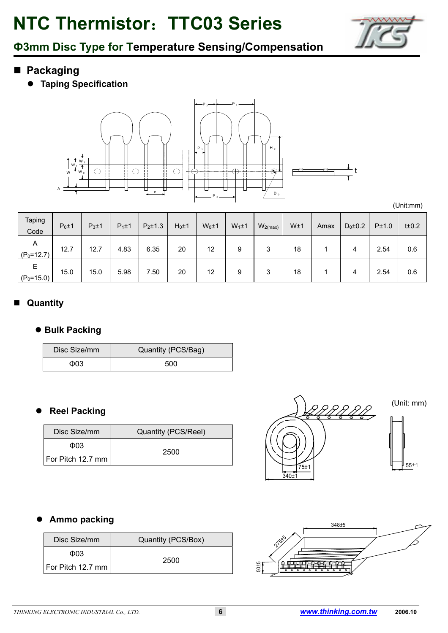

## **Ф3mm Disc Type for Temperature Sensing/Compensation**

- **Packaging**
	- **Taping Specification**



(Unit:mm)

| Taping<br>Code      | $P_0 \pm 1$ | $P_3 \pm 1$ | $P_1 \pm 1$ | $P_2 \pm 1.3$ | $H_0 \pm 1$ | $W_0 \pm 1$ | $W_1 \pm 1$ | $W_{2(max)}$ | W±1 | Amax | $D_0 \pm 0.2$ | P±1.0 | $t\pm 0.2$ |
|---------------------|-------------|-------------|-------------|---------------|-------------|-------------|-------------|--------------|-----|------|---------------|-------|------------|
| A<br>$(P_0=12.7)$   | 12.7        | 12.7        | 4.83        | 6.35          | 20          | 12          | 9           | 3            | 18  |      | 4             | 2.54  | 0.6        |
| Е<br>$(P_0 = 15.0)$ | 15.0        | 15.0        | 5.98        | 7.50          | 20          | 12          | 9           | 3            | 18  |      | 4             | 2.54  | 0.6        |

### **Quantity**

#### $\bullet$  **Bulk Packing**

| Disc Size/mm | Quantity (PCS/Bag) |
|--------------|--------------------|
| Ф03          | 500                |

### **Reel Packing**

| Disc Size/mm        | Quantity (PCS/Reel) |  |  |  |  |
|---------------------|---------------------|--|--|--|--|
| Ф03                 |                     |  |  |  |  |
| For Pitch 12.7 mm l | 2500                |  |  |  |  |



(Unit: mm)



### **Ammo packing**

| Disc Size/mm        | Quantity (PCS/Box) |  |  |  |
|---------------------|--------------------|--|--|--|
| Ф03                 | 2500               |  |  |  |
| For Pitch 12.7 mm l |                    |  |  |  |